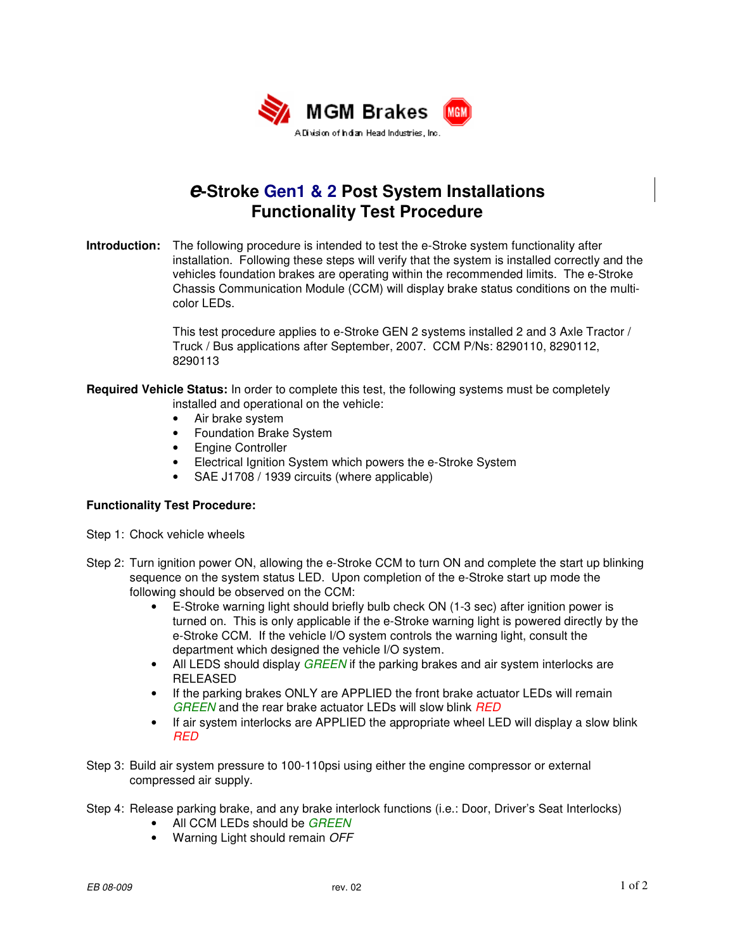

## **e-Stroke Gen1 & 2 Post System Installations Functionality Test Procedure**

**Introduction:** The following procedure is intended to test the e-Stroke system functionality after installation. Following these steps will verify that the system is installed correctly and the vehicles foundation brakes are operating within the recommended limits. The e-Stroke Chassis Communication Module (CCM) will display brake status conditions on the multicolor LEDs.

> This test procedure applies to e-Stroke GEN 2 systems installed 2 and 3 Axle Tractor / Truck / Bus applications after September, 2007. CCM P/Ns: 8290110, 8290112, 8290113

**Required Vehicle Status:** In order to complete this test, the following systems must be completely installed and operational on the vehicle:

- Air brake system
- Foundation Brake System
- Engine Controller
- Electrical Ignition System which powers the e-Stroke System
- SAE J1708 / 1939 circuits (where applicable)

## **Functionality Test Procedure:**

- Step 1: Chock vehicle wheels
- Step 2: Turn ignition power ON, allowing the e-Stroke CCM to turn ON and complete the start up blinking sequence on the system status LED. Upon completion of the e-Stroke start up mode the following should be observed on the CCM:
	- E-Stroke warning light should briefly bulb check ON (1-3 sec) after ignition power is turned on. This is only applicable if the e-Stroke warning light is powered directly by the e-Stroke CCM. If the vehicle I/O system controls the warning light, consult the department which designed the vehicle I/O system.
	- All LEDS should display *GREEN* if the parking brakes and air system interlocks are RELEASED
	- If the parking brakes ONLY are APPLIED the front brake actuator LEDs will remain GREEN and the rear brake actuator LEDs will slow blink RED
	- If air system interlocks are APPLIED the appropriate wheel LED will display a slow blink RED
- Step 3: Build air system pressure to 100-110psi using either the engine compressor or external compressed air supply.
- Step 4: Release parking brake, and any brake interlock functions (i.e.: Door, Driver's Seat Interlocks)
	- All CCM LEDs should be GREEN
	- Warning Light should remain OFF